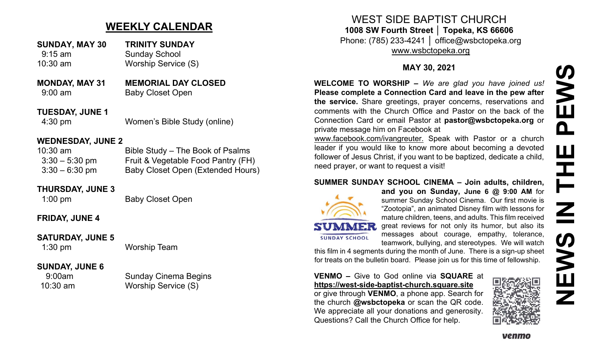# **NEWS IN THE PEWS**PEWS HH<br>N<br>N<br>N IEWS Z

## **WEEKLY CALENDAR**

- **SUNDAY, MAY 30 TRINITY SUNDAY** 9:15 am Sunday School 10:30 am Worship Service (S)
- **MONDAY, MAY 31 MEMORIAL DAY CLOSED** 9:00 am Baby Closet Open
- **TUESDAY, JUNE 1** 4:30 pm Women's Bible Study (online)

#### **WEDNESDAY, JUNE 2**

| $10:30$ am       | Bible Study – The Book of Psalms         |
|------------------|------------------------------------------|
| $3:30 - 5:30$ pm | Fruit & Vegetable Food Pantry (FH)       |
| $3:30 - 6:30$ pm | <b>Baby Closet Open (Extended Hours)</b> |

#### **THURSDAY, JUNE 3**

1:00 pm Baby Closet Open

#### **FRIDAY, JUNE 4**

#### **SATURDAY, JUNE 5**

1:30 pm Worship Team

#### **SUNDAY, JUNE 6**

9:00am Sunday Cinema Begins 10:30 am Worship Service (S)

WEST SIDE BAPTIST CHURCH **1008 SW Fourth Street │ Topeka, KS 66606**

Phone: (785) 233-4241 │ office@wsbctopeka.org [www.wsbctopeka.org](http://www.wsbctopeka.org/)

#### **MAY 30, 2021**

**WELCOME TO WORSHIP –** *We are glad you have joined us!* **Please complete a Connection Card and leave in the pew after the service.** Share greetings, prayer concerns, reservations and comments with the Church Office and Pastor on the back of the Connection Card or email Pastor at **pastor@wsbctopeka.org** or private message him on Facebook at

[www.facebook.com/ivangreuter.](http://www.facebook.com/ivangreuter.) Speak with Pastor or a church leader if you would like to know more about becoming a devoted follower of Jesus Christ, if you want to be baptized, dedicate a child, need prayer, or want to request a visit!

#### **SUMMER SUNDAY SCHOOL CINEMA – Join adults, children,**



**and you on Sunday, June 6 @ 9:00 AM** for summer Sunday School Cinema. Our first movie is "Zootopia", an animated Disney film with lessons for mature children, teens, and adults. This film received great reviews for not only its humor, but also its messages about courage, empathy, tolerance, teamwork, bullying, and stereotypes. We will watch

this film in 4 segments during the month of June. There is a sign-up sheet for treats on the bulletin board. Please join us for this time of fellowship.

**VENMO –** Give to God online via **SQUARE** at **https://west-side-baptist-[church.square.site](https://west-side-baptist-church.square.site/)**

or give through **VENMO**, a phone app. Search for the church **@wsbctopeka** or scan the QR code. We appreciate all your donations and generosity. Questions? Call the Church Office for help.



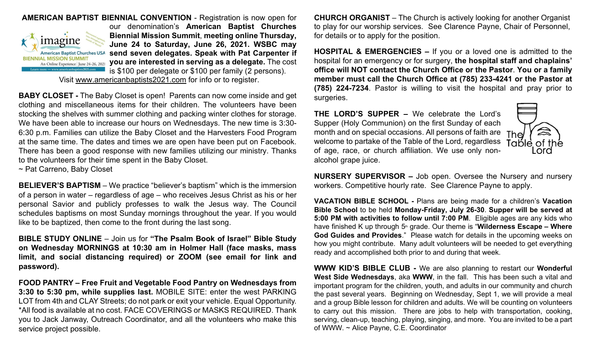

**AMERICAN BAPTIST BIENNIAL CONVENTION** - Registration is now open for our denomination's **American Baptist Churches Biennial Mission Summit**, **meeting online Thursday, June 24 to Saturday, June 26, 2021. WSBC may send seven delegates. Speak with Pat Carpenter if you are interested in serving as a delegate.** The cost is \$100 per delegate or \$100 per family (2 persons).

Visit [www.americanbaptists2021.com](http://www.americanbaptists2021.com/) for info or to register.

**BABY CLOSET -** The Baby Closet is open! Parents can now come inside and get clothing and miscellaneous items for their children. The volunteers have been stocking the shelves with summer clothing and packing winter clothes for storage. We have been able to increase our hours on Wednesdays. The new time is 3:30- 6:30 p.m. Families can utilize the Baby Closet and the Harvesters Food Program at the same time. The dates and times we are open have been put on Facebook. There has been a good response with new families utilizing our ministry. Thanks to the volunteers for their time spent in the Baby Closet.

~ Pat Carreno, Baby Closet

**BELIEVER'S BAPTISM** – We practice "believer's baptism" which is the immersion of a person in water – regardless of age – who receives Jesus Christ as his or her personal Savior and publicly professes to walk the Jesus way. The Council schedules baptisms on most Sunday mornings throughout the year. If you would like to be baptized, then come to the front during the last song.

**BIBLE STUDY ONLINE** – Join us for **"The Psalm Book of Israel" Bible Study on Wednesday MORNINGS at 10:30 am in Holmer Hall (face masks, mass limit, and social distancing required) or ZOOM (see email for link and password).** 

**FOOD PANTRY – Free Fruit and Vegetable Food Pantry on Wednesdays from 3:30 to 5:30 pm, while supplies last.** MOBILE SITE: enter the west PARKING LOT from 4th and CLAY Streets; do not park or exit your vehicle. Equal Opportunity. \*All food is available at no cost. FACE COVERINGS or MASKS REQUIRED. Thank you to Jack Janway, Outreach Coordinator, and all the volunteers who make this service project possible.

**CHURCH ORGANIST** – The Church is actively looking for another Organist to play for our worship services. See Clarence Payne, Chair of Personnel, for details or to apply for the position.

**HOSPITAL & EMERGENCIES –** If you or a loved one is admitted to the hospital for an emergency or for surgery, **the hospital staff and chaplains' office will NOT contact the Church Office or the Pastor**. **You or a family member must call the Church Office at (785) 233-4241 or the Pastor at (785) 224-7234**. Pastor is willing to visit the hospital and pray prior to surgeries.

**THE LORD'S SUPPER –** We celebrate the Lord's Supper (Holy Communion) on the first Sunday of each month and on special occasions. All persons of faith are The welcome to partake of the Table of the Lord, regardless of age, race, or church affiliation. We use only nonalcohol grape juice.



**NURSERY SUPERVISOR –** Job open. Oversee the Nursery and nursery workers. Competitive hourly rate. See Clarence Payne to apply.

**VACATION BIBLE SCHOOL -** Plans are being made for a children's **Vacation Bible School** to be held **Monday-Friday, July 26-30**. **Supper will be served at 5:00 PM with activities to follow until 7:00 PM**. Eligible ages are any kids who have finished K up through 5<sup>th</sup> grade. Our theme is "**Wilderness Escape – Where God Guides and Provides**." Please watch for details in the upcoming weeks on how you might contribute. Many adult volunteers will be needed to get everything ready and accomplished both prior to and during that week.

**WWW KID'S BIBLE CLUB -** We are also planning to restart our **Wonderful West Side Wednesdays**, aka **WWW**, in the fall. This has been such a vital and important program for the children, youth, and adults in our community and church the past several years. Beginning on Wednesday, Sept 1, we will provide a meal and a group Bible lesson for children and adults. We will be counting on volunteers to carry out this mission. There are jobs to help with transportation, cooking, serving, clean-up, teaching, playing, singing, and more. You are invited to be a part of WWW. ~ Alice Payne, C.E. Coordinator